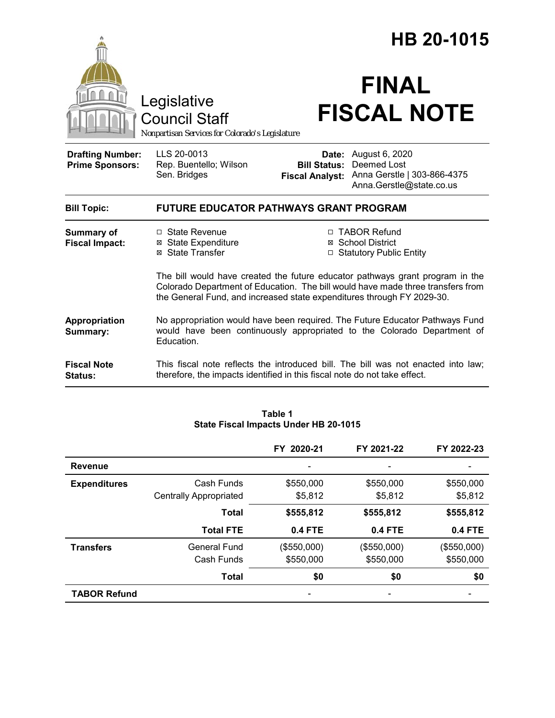|                                                   | HB 20-1015                                                                                                                                                                                                                                 |                              |                                                                                                          |  |  |
|---------------------------------------------------|--------------------------------------------------------------------------------------------------------------------------------------------------------------------------------------------------------------------------------------------|------------------------------|----------------------------------------------------------------------------------------------------------|--|--|
|                                                   | Legislative<br><b>Council Staff</b><br>Nonpartisan Services for Colorado's Legislature                                                                                                                                                     |                              | <b>FINAL</b><br><b>FISCAL NOTE</b>                                                                       |  |  |
| <b>Drafting Number:</b><br><b>Prime Sponsors:</b> | LLS 20-0013<br>Rep. Buentello; Wilson<br>Sen. Bridges                                                                                                                                                                                      | Date:<br><b>Bill Status:</b> | August 6, 2020<br>Deemed Lost<br>Fiscal Analyst: Anna Gerstle   303-866-4375<br>Anna.Gerstle@state.co.us |  |  |
| <b>Bill Topic:</b>                                | <b>FUTURE EDUCATOR PATHWAYS GRANT PROGRAM</b>                                                                                                                                                                                              |                              |                                                                                                          |  |  |
| Summary of<br><b>Fiscal Impact:</b>               | $\Box$ State Revenue<br><b>⊠</b> State Expenditure<br>⊠ State Transfer                                                                                                                                                                     |                              | □ TABOR Refund<br>⊠ School District<br>□ Statutory Public Entity                                         |  |  |
|                                                   | The bill would have created the future educator pathways grant program in the<br>Colorado Department of Education. The bill would have made three transfers from<br>the General Fund, and increased state expenditures through FY 2029-30. |                              |                                                                                                          |  |  |
| Appropriation<br>Summary:                         | No appropriation would have been required. The Future Educator Pathways Fund<br>would have been continuously appropriated to the Colorado Department of<br>Education.                                                                      |                              |                                                                                                          |  |  |
| <b>Fiscal Note</b><br><b>Status:</b>              | therefore, the impacts identified in this fiscal note do not take effect.                                                                                                                                                                  |                              | This fiscal note reflects the introduced bill. The bill was not enacted into law;                        |  |  |

|                     |                               | FY 2020-21  | FY 2021-22     | FY 2022-23  |
|---------------------|-------------------------------|-------------|----------------|-------------|
| Revenue             |                               |             |                |             |
| <b>Expenditures</b> | Cash Funds                    | \$550,000   | \$550,000      | \$550,000   |
|                     | <b>Centrally Appropriated</b> | \$5,812     | \$5,812        | \$5,812     |
|                     | <b>Total</b>                  | \$555,812   | \$555,812      | \$555,812   |
|                     | <b>Total FTE</b>              | 0.4 FTE     | <b>0.4 FTE</b> | 0.4 FTE     |
| <b>Transfers</b>    | General Fund                  | (\$550,000) | (\$550,000)    | (\$550,000) |
|                     | Cash Funds                    | \$550,000   | \$550,000      | \$550,000   |
|                     | <b>Total</b>                  | \$0         | \$0            | \$0         |
| <b>TABOR Refund</b> |                               |             |                |             |

#### **Table 1 State Fiscal Impacts Under HB 20-1015**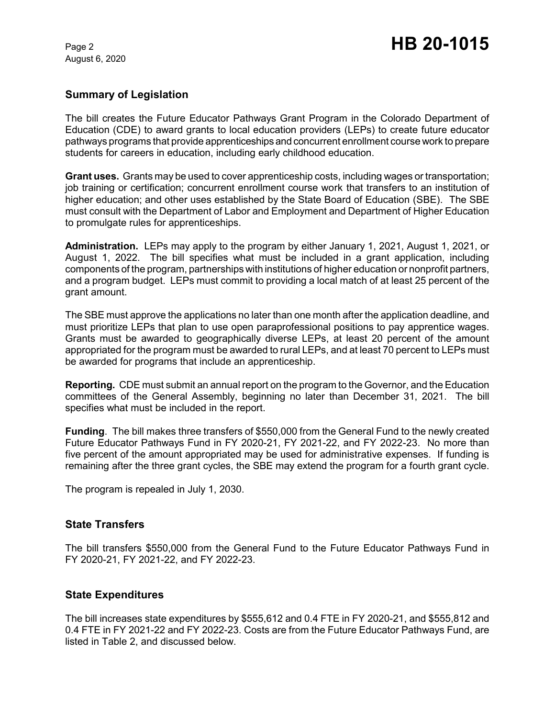August 6, 2020

### **Summary of Legislation**

The bill creates the Future Educator Pathways Grant Program in the Colorado Department of Education (CDE) to award grants to local education providers (LEPs) to create future educator pathways programs that provide apprenticeships and concurrent enrollment course work to prepare students for careers in education, including early childhood education.

**Grant uses.** Grants may be used to cover apprenticeship costs, including wages or transportation; job training or certification; concurrent enrollment course work that transfers to an institution of higher education; and other uses established by the State Board of Education (SBE). The SBE must consult with the Department of Labor and Employment and Department of Higher Education to promulgate rules for apprenticeships.

**Administration.** LEPs may apply to the program by either January 1, 2021, August 1, 2021, or August 1, 2022. The bill specifies what must be included in a grant application, including components of the program, partnerships with institutions of higher education or nonprofit partners, and a program budget. LEPs must commit to providing a local match of at least 25 percent of the grant amount.

The SBE must approve the applications no later than one month after the application deadline, and must prioritize LEPs that plan to use open paraprofessional positions to pay apprentice wages. Grants must be awarded to geographically diverse LEPs, at least 20 percent of the amount appropriated for the program must be awarded to rural LEPs, and at least 70 percent to LEPs must be awarded for programs that include an apprenticeship.

**Reporting.** CDE must submit an annual report on the program to the Governor, and the Education committees of the General Assembly, beginning no later than December 31, 2021. The bill specifies what must be included in the report.

**Funding**. The bill makes three transfers of \$550,000 from the General Fund to the newly created Future Educator Pathways Fund in FY 2020-21, FY 2021-22, and FY 2022-23. No more than five percent of the amount appropriated may be used for administrative expenses. If funding is remaining after the three grant cycles, the SBE may extend the program for a fourth grant cycle.

The program is repealed in July 1, 2030.

#### **State Transfers**

The bill transfers \$550,000 from the General Fund to the Future Educator Pathways Fund in FY 2020-21, FY 2021-22, and FY 2022-23.

#### **State Expenditures**

The bill increases state expenditures by \$555,612 and 0.4 FTE in FY 2020-21, and \$555,812 and 0.4 FTE in FY 2021-22 and FY 2022-23. Costs are from the Future Educator Pathways Fund, are listed in Table 2, and discussed below.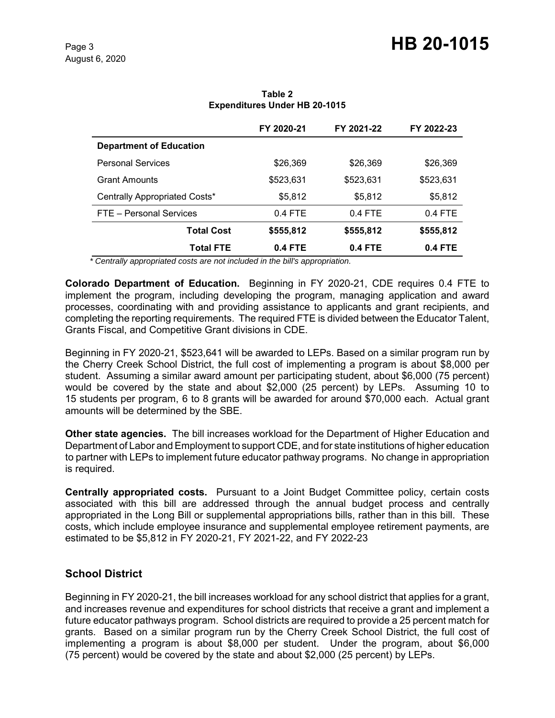|                                | FY 2020-21 | FY 2021-22 | FY 2022-23 |
|--------------------------------|------------|------------|------------|
| <b>Department of Education</b> |            |            |            |
| <b>Personal Services</b>       | \$26,369   | \$26,369   | \$26,369   |
| <b>Grant Amounts</b>           | \$523,631  | \$523.631  | \$523,631  |
| Centrally Appropriated Costs*  | \$5,812    | \$5,812    | \$5,812    |
| FTE - Personal Services        | $0.4$ FTE  | $0.4$ FTE  | $0.4$ FTE  |
| <b>Total Cost</b>              | \$555,812  | \$555,812  | \$555,812  |
| <b>Total FTE</b>               | $0.4$ FTE  | $0.4$ FTE  | $0.4$ FTE  |

**Table 2 Expenditures Under HB 20-1015**

 *\* Centrally appropriated costs are not included in the bill's appropriation.*

**Colorado Department of Education.** Beginning in FY 2020-21, CDE requires 0.4 FTE to implement the program, including developing the program, managing application and award processes, coordinating with and providing assistance to applicants and grant recipients, and completing the reporting requirements. The required FTE is divided between the Educator Talent, Grants Fiscal, and Competitive Grant divisions in CDE.

Beginning in FY 2020-21, \$523,641 will be awarded to LEPs. Based on a similar program run by the Cherry Creek School District, the full cost of implementing a program is about \$8,000 per student. Assuming a similar award amount per participating student, about \$6,000 (75 percent) would be covered by the state and about \$2,000 (25 percent) by LEPs. Assuming 10 to 15 students per program, 6 to 8 grants will be awarded for around \$70,000 each. Actual grant amounts will be determined by the SBE.

**Other state agencies.** The bill increases workload for the Department of Higher Education and Department of Labor and Employment to support CDE, and for state institutions of higher education to partner with LEPs to implement future educator pathway programs. No change in appropriation is required.

**Centrally appropriated costs.** Pursuant to a Joint Budget Committee policy, certain costs associated with this bill are addressed through the annual budget process and centrally appropriated in the Long Bill or supplemental appropriations bills, rather than in this bill. These costs, which include employee insurance and supplemental employee retirement payments, are estimated to be \$5,812 in FY 2020-21, FY 2021-22, and FY 2022-23

# **School District**

Beginning in FY 2020-21, the bill increases workload for any school district that applies for a grant, and increases revenue and expenditures for school districts that receive a grant and implement a future educator pathways program. School districts are required to provide a 25 percent match for grants. Based on a similar program run by the Cherry Creek School District, the full cost of implementing a program is about \$8,000 per student. Under the program, about \$6,000 (75 percent) would be covered by the state and about \$2,000 (25 percent) by LEPs.